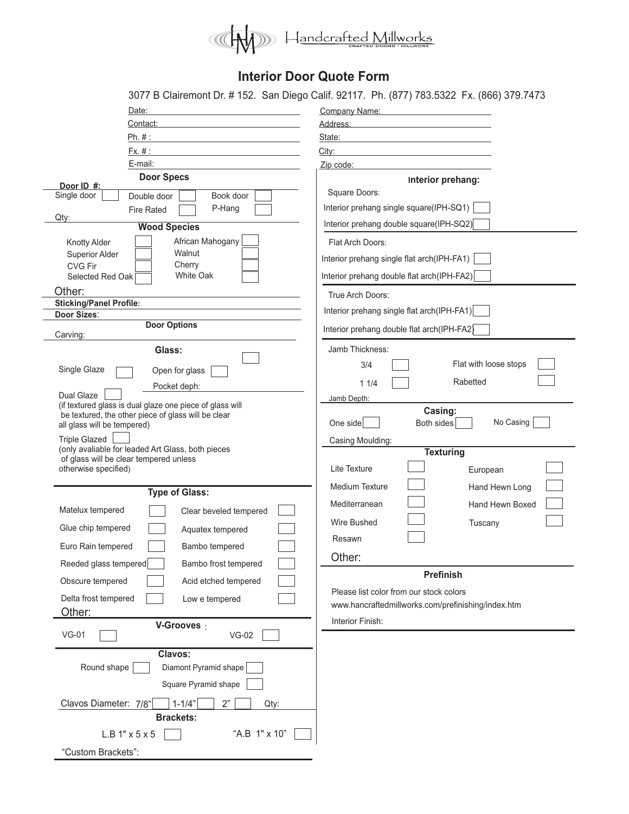

## **Interior Door Quote Form**

|                                                                                      | 3077 B Clairemont Dr. #152. San Diego Calif. 92117. Ph. (877) 783.5322 Fx. (866) 379.7473            |  |  |
|--------------------------------------------------------------------------------------|------------------------------------------------------------------------------------------------------|--|--|
| Date:                                                                                | Company Name:                                                                                        |  |  |
| Contact:                                                                             | Address: Address: Address: Address: Address: Address: Address: Address: Address: Address: Address: A |  |  |
| Ph. #:<br>the control of the control of the control of the control of the control of | State:<br>the control of the control of the control of the control of the control of                 |  |  |
| Fx. #:                                                                               | City:                                                                                                |  |  |
| E-mail:                                                                              | Zip code:                                                                                            |  |  |
| <b>Door Specs</b>                                                                    | Interior prehang:                                                                                    |  |  |
| Door ID #:<br>Single door<br>Book door<br>Double door                                | Square Doors:                                                                                        |  |  |
| P-Hang                                                                               | Interior prehang single square(IPH-SQ1)                                                              |  |  |
| <b>Fire Rated</b><br>Qtv:                                                            |                                                                                                      |  |  |
| <b>Wood Species</b>                                                                  | Interior prehang double square(IPH-SQ2)                                                              |  |  |
| African Mahogany<br><b>Knotty Alder</b>                                              | Flat Arch Doors:                                                                                     |  |  |
| Walnut<br><b>Superior Alder</b>                                                      | Interior prehang single flat arch(IPH-FA1)                                                           |  |  |
| Cherry<br><b>CVG Fir</b><br>White Oak<br>Selected Red Oak [                          | Interior prehang double flat arch(IPH-FA2)                                                           |  |  |
|                                                                                      |                                                                                                      |  |  |
| Other:<br><b>Sticking/Panel Profile:</b>                                             | True Arch Doors:                                                                                     |  |  |
| <b>Door Sizes:</b>                                                                   | Interior prehang single flat arch(IPH-FA1)                                                           |  |  |
| <b>Door Options</b><br>Carving:                                                      | Interior prehang double flat arch(IPH-FA2)                                                           |  |  |
| Glass:                                                                               | Jamb Thickness:                                                                                      |  |  |
|                                                                                      | Flat with loose stops<br>3/4                                                                         |  |  |
| Single Glaze<br>Open for glass                                                       | Rabetted                                                                                             |  |  |
| Pocket deph:<br><b>Dual Glaze</b>                                                    | 11/4                                                                                                 |  |  |
| (if textured glass is dual glaze one piece of glass will                             | Jamb Depth:                                                                                          |  |  |
| be textured, the other piece of glass will be clear                                  | Casing:<br>No Casing<br>Both sides<br>One side                                                       |  |  |
| all glass will be tempered)                                                          |                                                                                                      |  |  |
| <b>Triple Glazed</b><br>(only avaliable for leaded Art Glass, both pieces            | Casing Moulding:                                                                                     |  |  |
| of glass will be clear tempered unless                                               | <b>Texturing</b>                                                                                     |  |  |
| otherwise specified)                                                                 | Lite Texture<br>European                                                                             |  |  |
| <b>Type of Glass:</b>                                                                | <b>Medium Texture</b><br>Hand Hewn Long                                                              |  |  |
|                                                                                      | Mediterranean<br>Hand Hewn Boxed                                                                     |  |  |
| Matelux tempered<br>Clear beveled tempered                                           |                                                                                                      |  |  |
| Glue chip tempered<br>Aquatex tempered                                               | Wire Bushed<br>Tuscany                                                                               |  |  |
| Euro Rain tempered<br>Bambo tempered                                                 | Resawn                                                                                               |  |  |
| Reeded glass tempered<br>Bambo frost tempered                                        | Other:                                                                                               |  |  |
| Obscure tempered<br>Acid etched tempered                                             | <b>Prefinish</b>                                                                                     |  |  |
|                                                                                      | Please list color from our stock colors                                                              |  |  |
| Delta frost tempered<br>Low e tempered                                               | www.hancraftedmillworks.com/prefinishing/index.htm                                                   |  |  |
| Other:                                                                               | Interior Finish:                                                                                     |  |  |
| V-Grooves :<br>$VG-01$<br>$VG-02$                                                    |                                                                                                      |  |  |
| Clavos:                                                                              |                                                                                                      |  |  |
| Diamont Pyramid shape<br>Round shape                                                 |                                                                                                      |  |  |
| Square Pyramid shape                                                                 |                                                                                                      |  |  |
| Clavos Diameter: 7/8"<br>2"<br>$1 - 1/4"$<br>Qty:                                    |                                                                                                      |  |  |
| <b>Brackets:</b>                                                                     |                                                                                                      |  |  |
| "A.B 1" x 10"                                                                        |                                                                                                      |  |  |
| L.B 1" x 5 x 5                                                                       |                                                                                                      |  |  |
| "Custom Brackets":                                                                   |                                                                                                      |  |  |